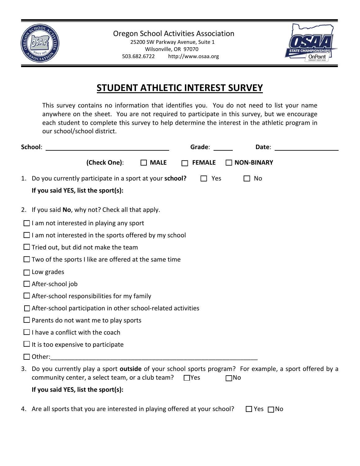



## **STUDENT ATHLETIC INTEREST SURVEY**

This survey contains no information that identifies you. You do not need to list your name anywhere on the sheet. You are not required to participate in this survey, but we encourage each student to complete this survey to help determine the interest in the athletic program in our school/school district.

| School:                                                                                                                                                                     | Grade:        | Date:             |  |
|-----------------------------------------------------------------------------------------------------------------------------------------------------------------------------|---------------|-------------------|--|
| (Check One):<br>$\Box$ MALE                                                                                                                                                 | <b>FEMALE</b> | $\Box$ NON-BINARY |  |
| Do you currently participate in a sport at your school?<br>1.                                                                                                               | Yes           | No                |  |
| If you said YES, list the sport(s):                                                                                                                                         |               |                   |  |
| 2. If you said No, why not? Check all that apply.                                                                                                                           |               |                   |  |
| $\Box$ I am not interested in playing any sport                                                                                                                             |               |                   |  |
| $\Box$ I am not interested in the sports offered by my school                                                                                                               |               |                   |  |
| $\Box$ Tried out, but did not make the team                                                                                                                                 |               |                   |  |
| $\Box$ Two of the sports I like are offered at the same time                                                                                                                |               |                   |  |
| $\Box$ Low grades                                                                                                                                                           |               |                   |  |
| $\Box$ After-school job                                                                                                                                                     |               |                   |  |
| $\Box$ After-school responsibilities for my family                                                                                                                          |               |                   |  |
| $\Box$ After-school participation in other school-related activities                                                                                                        |               |                   |  |
| $\Box$ Parents do not want me to play sports                                                                                                                                |               |                   |  |
| $\Box$ I have a conflict with the coach                                                                                                                                     |               |                   |  |
| $\Box$ It is too expensive to participate                                                                                                                                   |               |                   |  |
| Other:                                                                                                                                                                      |               |                   |  |
| 3. Do you currently play a sport outside of your school sports program? For example, a sport offered by a<br>community center, a select team, or a club team?<br>$\Box$ Yes |               | $\square$ No      |  |
| If you said YES, list the sport(s):                                                                                                                                         |               |                   |  |
| 4. Are all sports that you are interested in playing offered at your school?                                                                                                |               | Yes $\Box$ No     |  |